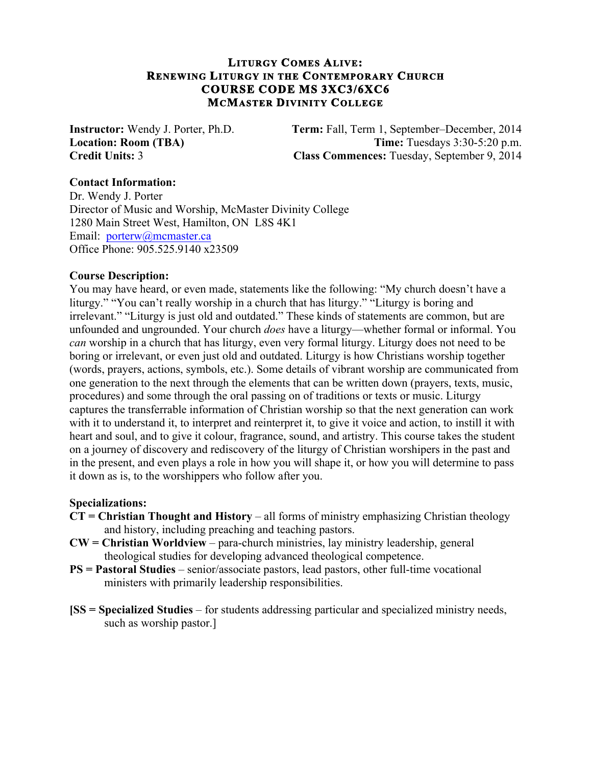## **LITURGY COMES ALIVE: RENEWING LITURGY IN THE CONTEMPORARY CHURCH COURSE CODE MS 3XC3/6XC6 MCMASTER DIVINITY COLLEGE**

**Instructor:** Wendy J. Porter, Ph.D. **Term:** Fall, Term 1, September–December, 2014 **Location: Room (TBA) Time:** Tuesdays 3:30-5:20 p.m. **Credit Units:** 3 **Class Commences:** Tuesday, September 9, 2014

### **Contact Information:**

Dr. Wendy J. Porter Director of Music and Worship, McMaster Divinity College 1280 Main Street West, Hamilton, ON L8S 4K1 Email: porterw@mcmaster.ca Office Phone: 905.525.9140 x23509

### **Course Description:**

You may have heard, or even made, statements like the following: "My church doesn't have a liturgy." "You can't really worship in a church that has liturgy." "Liturgy is boring and irrelevant." "Liturgy is just old and outdated." These kinds of statements are common, but are unfounded and ungrounded. Your church *does* have a liturgy—whether formal or informal. You *can* worship in a church that has liturgy, even very formal liturgy. Liturgy does not need to be boring or irrelevant, or even just old and outdated. Liturgy is how Christians worship together (words, prayers, actions, symbols, etc.). Some details of vibrant worship are communicated from one generation to the next through the elements that can be written down (prayers, texts, music, procedures) and some through the oral passing on of traditions or texts or music. Liturgy captures the transferrable information of Christian worship so that the next generation can work with it to understand it, to interpret and reinterpret it, to give it voice and action, to instill it with heart and soul, and to give it colour, fragrance, sound, and artistry. This course takes the student on a journey of discovery and rediscovery of the liturgy of Christian worshipers in the past and in the present, and even plays a role in how you will shape it, or how you will determine to pass it down as is, to the worshippers who follow after you.

### **Specializations:**

- **CT = Christian Thought and History** all forms of ministry emphasizing Christian theology and history, including preaching and teaching pastors.
- **CW = Christian Worldview** para-church ministries, lay ministry leadership, general theological studies for developing advanced theological competence.
- **PS = Pastoral Studies** senior/associate pastors, lead pastors, other full-time vocational ministers with primarily leadership responsibilities.
- **[SS = Specialized Studies** for students addressing particular and specialized ministry needs, such as worship pastor.]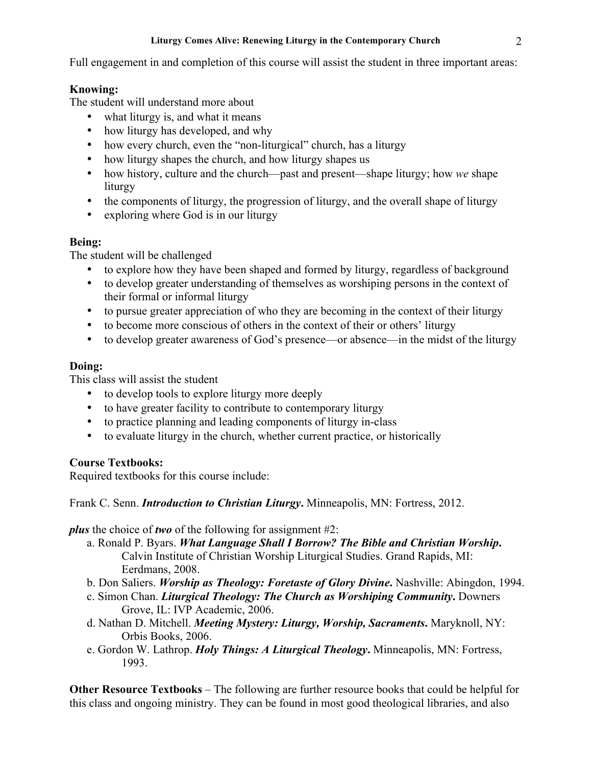### **Liturgy Comes Alive: Renewing Liturgy in the Contemporary Church** 2

Full engagement in and completion of this course will assist the student in three important areas:

# **Knowing:**

The student will understand more about

- what liturgy is, and what it means
- how liturgy has developed, and why
- how every church, even the "non-liturgical" church, has a liturgy
- how liturgy shapes the church, and how liturgy shapes us
- how history, culture and the church—past and present—shape liturgy; how *we* shape liturgy
- the components of liturgy, the progression of liturgy, and the overall shape of liturgy
- exploring where God is in our liturgy

## **Being:**

The student will be challenged

- to explore how they have been shaped and formed by liturgy, regardless of background
- to develop greater understanding of themselves as worshiping persons in the context of their formal or informal liturgy
- to pursue greater appreciation of who they are becoming in the context of their liturgy
- to become more conscious of others in the context of their or others' liturgy
- to develop greater awareness of God's presence—or absence—in the midst of the liturgy

# **Doing:**

This class will assist the student

- to develop tools to explore liturgy more deeply
- to have greater facility to contribute to contemporary liturgy
- to practice planning and leading components of liturgy in-class
- to evaluate liturgy in the church, whether current practice, or historically

# **Course Textbooks:**

Required textbooks for this course include:

Frank C. Senn. *Introduction to Christian Liturgy***.** Minneapolis, MN: Fortress, 2012.

*plus* the choice of *two* of the following for assignment #2:

- a. Ronald P. Byars. *What Language Shall I Borrow? The Bible and Christian Worship***.**  Calvin Institute of Christian Worship Liturgical Studies. Grand Rapids, MI: Eerdmans, 2008.
- b. Don Saliers. *Worship as Theology: Foretaste of Glory Divine***.** Nashville: Abingdon, 1994.
- c. Simon Chan. *Liturgical Theology: The Church as Worshiping Community***.** Downers Grove, IL: IVP Academic, 2006.
- d. Nathan D. Mitchell. *Meeting Mystery: Liturgy, Worship, Sacraments***.** Maryknoll, NY: Orbis Books, 2006.
- e. Gordon W. Lathrop. *Holy Things: A Liturgical Theology***.** Minneapolis, MN: Fortress, 1993.

**Other Resource Textbooks** – The following are further resource books that could be helpful for this class and ongoing ministry. They can be found in most good theological libraries, and also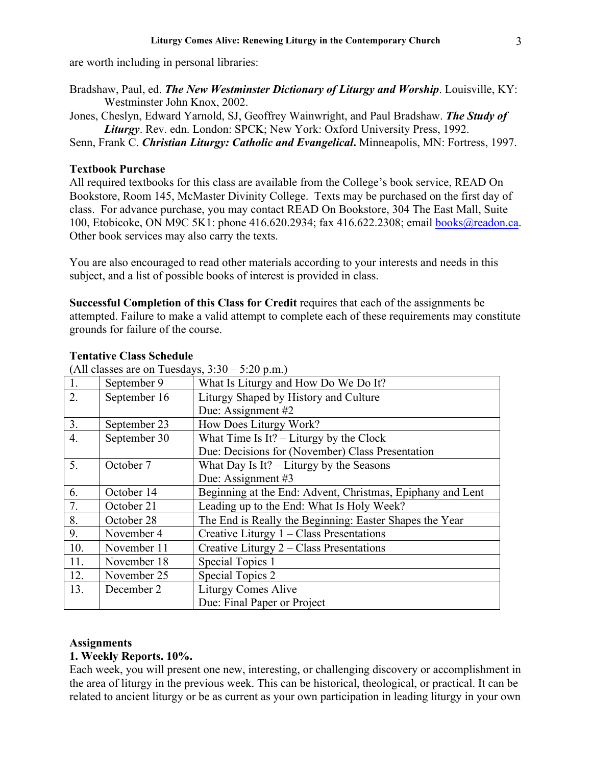are worth including in personal libraries:

- Bradshaw, Paul, ed. *The New Westminster Dictionary of Liturgy and Worship*. Louisville, KY: Westminster John Knox, 2002.
- Jones, Cheslyn, Edward Yarnold, SJ, Geoffrey Wainwright, and Paul Bradshaw. *The Study of Liturgy*. Rev. edn. London: SPCK; New York: Oxford University Press, 1992.

Senn, Frank C. *Christian Liturgy: Catholic and Evangelical***.** Minneapolis, MN: Fortress, 1997.

### **Textbook Purchase**

All required textbooks for this class are available from the College's book service, READ On Bookstore, Room 145, McMaster Divinity College. Texts may be purchased on the first day of class. For advance purchase, you may contact READ On Bookstore, 304 The East Mall, Suite 100, Etobicoke, ON M9C 5K1: phone 416.620.2934; fax 416.622.2308; email books@readon.ca. Other book services may also carry the texts.

You are also encouraged to read other materials according to your interests and needs in this subject, and a list of possible books of interest is provided in class.

**Successful Completion of this Class for Credit** requires that each of the assignments be attempted. Failure to make a valid attempt to complete each of these requirements may constitute grounds for failure of the course.

| $\mu$ in chasses are on Tuesdays, $\mu$ . $\mu$ = 0.20 p.m. |              |                                                            |
|-------------------------------------------------------------|--------------|------------------------------------------------------------|
| 1.                                                          | September 9  | What Is Liturgy and How Do We Do It?                       |
| 2.                                                          | September 16 | Liturgy Shaped by History and Culture                      |
|                                                             |              | Due: Assignment #2                                         |
| 3.                                                          | September 23 | How Does Liturgy Work?                                     |
| 4.                                                          | September 30 | What Time Is It? $-$ Liturgy by the Clock                  |
|                                                             |              | Due: Decisions for (November) Class Presentation           |
| 5.                                                          | October 7    | What Day Is It? $-$ Liturgy by the Seasons                 |
|                                                             |              | Due: Assignment #3                                         |
| 6.                                                          | October 14   | Beginning at the End: Advent, Christmas, Epiphany and Lent |
| 7.                                                          | October 21   | Leading up to the End: What Is Holy Week?                  |
| 8.                                                          | October 28   | The End is Really the Beginning: Easter Shapes the Year    |
| 9.                                                          | November 4   | Creative Liturgy $1 - Class$ Presentations                 |
| 10.                                                         | November 11  | Creative Liturgy 2 – Class Presentations                   |
| 11.                                                         | November 18  | Special Topics 1                                           |
| 12.                                                         | November 25  | Special Topics 2                                           |
| 13.                                                         | December 2   | <b>Liturgy Comes Alive</b>                                 |
|                                                             |              | Due: Final Paper or Project                                |

## **Tentative Class Schedule**

(All classes are on Tuesdays,  $3:30 - 5:20$  n m)

## **Assignments**

### **1. Weekly Reports. 10%.**

Each week, you will present one new, interesting, or challenging discovery or accomplishment in the area of liturgy in the previous week. This can be historical, theological, or practical. It can be related to ancient liturgy or be as current as your own participation in leading liturgy in your own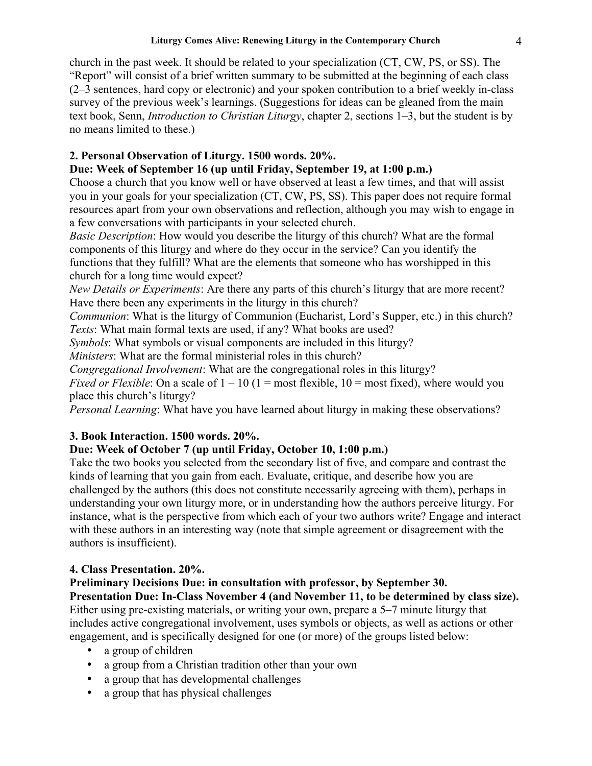church in the past week. It should be related to your specialization (CT, CW, PS, or SS). The "Report" will consist of a brief written summary to be submitted at the beginning of each class (2–3 sentences, hard copy or electronic) and your spoken contribution to a brief weekly in-class survey of the previous week's learnings. (Suggestions for ideas can be gleaned from the main text book, Senn, *Introduction to Christian Liturgy*, chapter 2, sections 1–3, but the student is by no means limited to these.)

# **2. Personal Observation of Liturgy. 1500 words. 20%.**

# **Due: Week of September 16 (up until Friday, September 19, at 1:00 p.m.)**

Choose a church that you know well or have observed at least a few times, and that will assist you in your goals for your specialization (CT, CW, PS, SS). This paper does not require formal resources apart from your own observations and reflection, although you may wish to engage in a few conversations with participants in your selected church.

*Basic Description*: How would you describe the liturgy of this church? What are the formal components of this liturgy and where do they occur in the service? Can you identify the functions that they fulfill? What are the elements that someone who has worshipped in this church for a long time would expect?

*New Details or Experiments*: Are there any parts of this church's liturgy that are more recent? Have there been any experiments in the liturgy in this church?

*Communion*: What is the liturgy of Communion (Eucharist, Lord's Supper, etc.) in this church? *Texts*: What main formal texts are used, if any? What books are used?

*Symbols*: What symbols or visual components are included in this liturgy?

*Ministers*: What are the formal ministerial roles in this church?

*Congregational Involvement*: What are the congregational roles in this liturgy?

*Fixed or Flexible*: On a scale of  $1 - 10$  ( $1 = \text{most flexible}$ ,  $10 = \text{most fixed}$ ), where would you place this church's liturgy?

*Personal Learning*: What have you have learned about liturgy in making these observations?

# **3. Book Interaction. 1500 words. 20%.**

# **Due: Week of October 7 (up until Friday, October 10, 1:00 p.m.)**

Take the two books you selected from the secondary list of five, and compare and contrast the kinds of learning that you gain from each. Evaluate, critique, and describe how you are challenged by the authors (this does not constitute necessarily agreeing with them), perhaps in understanding your own liturgy more, or in understanding how the authors perceive liturgy. For instance, what is the perspective from which each of your two authors write? Engage and interact with these authors in an interesting way (note that simple agreement or disagreement with the authors is insufficient).

# **4. Class Presentation. 20%.**

# **Preliminary Decisions Due: in consultation with professor, by September 30.**

**Presentation Due: In-Class November 4 (and November 11, to be determined by class size).** Either using pre-existing materials, or writing your own, prepare a 5–7 minute liturgy that includes active congregational involvement, uses symbols or objects, as well as actions or other engagement, and is specifically designed for one (or more) of the groups listed below:

- a group of children
- a group from a Christian tradition other than your own
- a group that has developmental challenges
- a group that has physical challenges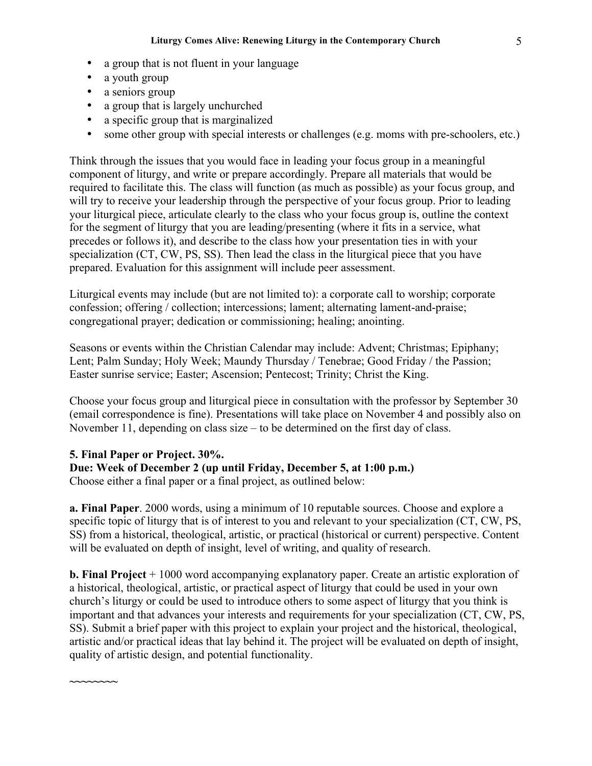- a group that is not fluent in your language
- a youth group
- a seniors group
- a group that is largely unchurched
- a specific group that is marginalized
- some other group with special interests or challenges (e.g. moms with pre-schoolers, etc.)

Think through the issues that you would face in leading your focus group in a meaningful component of liturgy, and write or prepare accordingly. Prepare all materials that would be required to facilitate this. The class will function (as much as possible) as your focus group, and will try to receive your leadership through the perspective of your focus group. Prior to leading your liturgical piece, articulate clearly to the class who your focus group is, outline the context for the segment of liturgy that you are leading/presenting (where it fits in a service, what precedes or follows it), and describe to the class how your presentation ties in with your specialization (CT, CW, PS, SS). Then lead the class in the liturgical piece that you have prepared. Evaluation for this assignment will include peer assessment.

Liturgical events may include (but are not limited to): a corporate call to worship; corporate confession; offering / collection; intercessions; lament; alternating lament-and-praise; congregational prayer; dedication or commissioning; healing; anointing.

Seasons or events within the Christian Calendar may include: Advent; Christmas; Epiphany; Lent; Palm Sunday; Holy Week; Maundy Thursday / Tenebrae; Good Friday / the Passion; Easter sunrise service; Easter; Ascension; Pentecost; Trinity; Christ the King.

Choose your focus group and liturgical piece in consultation with the professor by September 30 (email correspondence is fine). Presentations will take place on November 4 and possibly also on November 11, depending on class size – to be determined on the first day of class.

## **5. Final Paper or Project. 30%.**

**~~~~~~~~**

**Due: Week of December 2 (up until Friday, December 5, at 1:00 p.m.)**

Choose either a final paper or a final project, as outlined below:

**a. Final Paper**. 2000 words, using a minimum of 10 reputable sources. Choose and explore a specific topic of liturgy that is of interest to you and relevant to your specialization (CT, CW, PS, SS) from a historical, theological, artistic, or practical (historical or current) perspective. Content will be evaluated on depth of insight, level of writing, and quality of research.

**b. Final Project** + 1000 word accompanying explanatory paper. Create an artistic exploration of a historical, theological, artistic, or practical aspect of liturgy that could be used in your own church's liturgy or could be used to introduce others to some aspect of liturgy that you think is important and that advances your interests and requirements for your specialization (CT, CW, PS, SS). Submit a brief paper with this project to explain your project and the historical, theological, artistic and/or practical ideas that lay behind it. The project will be evaluated on depth of insight, quality of artistic design, and potential functionality.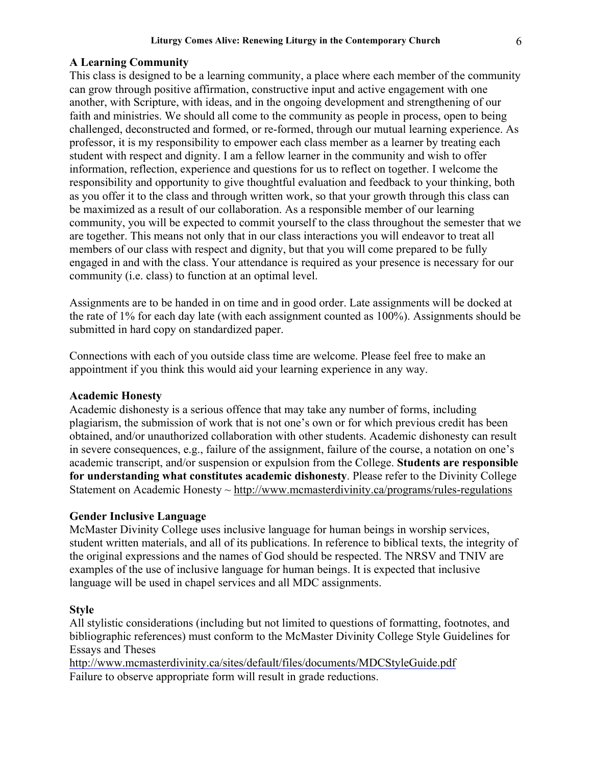### **A Learning Community**

This class is designed to be a learning community, a place where each member of the community can grow through positive affirmation, constructive input and active engagement with one another, with Scripture, with ideas, and in the ongoing development and strengthening of our faith and ministries. We should all come to the community as people in process, open to being challenged, deconstructed and formed, or re-formed, through our mutual learning experience. As professor, it is my responsibility to empower each class member as a learner by treating each student with respect and dignity. I am a fellow learner in the community and wish to offer information, reflection, experience and questions for us to reflect on together. I welcome the responsibility and opportunity to give thoughtful evaluation and feedback to your thinking, both as you offer it to the class and through written work, so that your growth through this class can be maximized as a result of our collaboration. As a responsible member of our learning community, you will be expected to commit yourself to the class throughout the semester that we are together. This means not only that in our class interactions you will endeavor to treat all members of our class with respect and dignity, but that you will come prepared to be fully engaged in and with the class. Your attendance is required as your presence is necessary for our community (i.e. class) to function at an optimal level.

Assignments are to be handed in on time and in good order. Late assignments will be docked at the rate of 1% for each day late (with each assignment counted as 100%). Assignments should be submitted in hard copy on standardized paper.

Connections with each of you outside class time are welcome. Please feel free to make an appointment if you think this would aid your learning experience in any way.

### **Academic Honesty**

Academic dishonesty is a serious offence that may take any number of forms, including plagiarism, the submission of work that is not one's own or for which previous credit has been obtained, and/or unauthorized collaboration with other students. Academic dishonesty can result in severe consequences, e.g., failure of the assignment, failure of the course, a notation on one's academic transcript, and/or suspension or expulsion from the College. **Students are responsible for understanding what constitutes academic dishonesty**. Please refer to the Divinity College Statement on Academic Honesty ~ http://www.mcmasterdivinity.ca/programs/rules-regulations

#### **Gender Inclusive Language**

McMaster Divinity College uses inclusive language for human beings in worship services, student written materials, and all of its publications. In reference to biblical texts, the integrity of the original expressions and the names of God should be respected. The NRSV and TNIV are examples of the use of inclusive language for human beings. It is expected that inclusive language will be used in chapel services and all MDC assignments.

#### **Style**

All stylistic considerations (including but not limited to questions of formatting, footnotes, and bibliographic references) must conform to the McMaster Divinity College Style Guidelines for Essays and Theses

http://www.mcmasterdivinity.ca/sites/default/files/documents/MDCStyleGuide.pdf Failure to observe appropriate form will result in grade reductions.